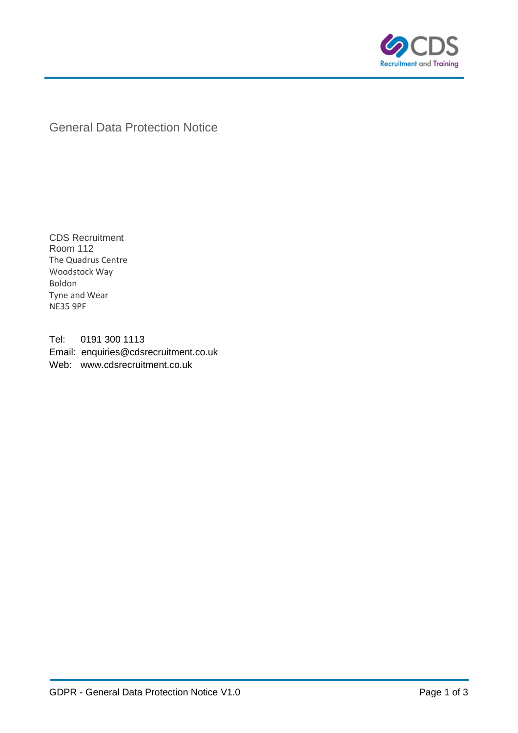

General Data Protection Notice

CDS Recruitment Room 112 The Quadrus Centre Woodstock Way Boldon Tyne and Wear NE35 9PF

Tel: 0191 300 1113 Email: enquiries@cdsrecruitment.co.uk Web: www.cdsrecruitment.co.uk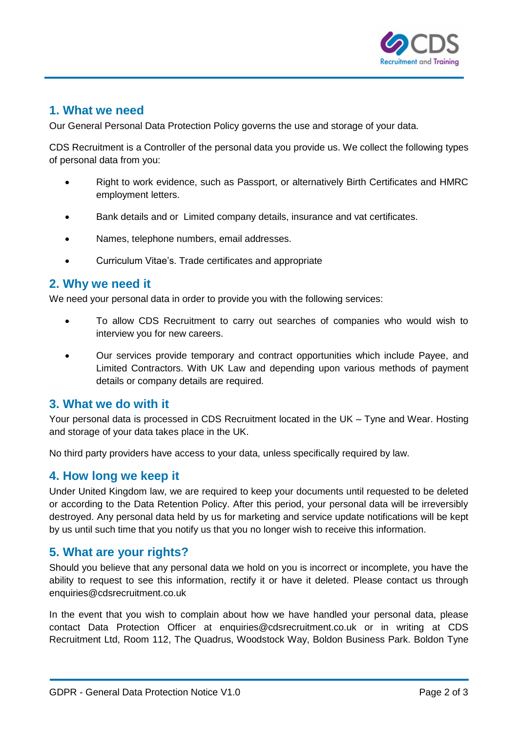

# **1. What we need**

Our General Personal Data Protection Policy governs the use and storage of your data.

CDS Recruitment is a Controller of the personal data you provide us. We collect the following types of personal data from you:

- Right to work evidence, such as Passport, or alternatively Birth Certificates and HMRC employment letters.
- Bank details and or Limited company details, insurance and vat certificates.
- Names, telephone numbers, email addresses.
- Curriculum Vitae's. Trade certificates and appropriate

## **2. Why we need it**

We need your personal data in order to provide you with the following services:

- To allow CDS Recruitment to carry out searches of companies who would wish to interview you for new careers.
- Our services provide temporary and contract opportunities which include Payee, and Limited Contractors. With UK Law and depending upon various methods of payment details or company details are required.

## **3. What we do with it**

Your personal data is processed in CDS Recruitment located in the UK – Tyne and Wear. Hosting and storage of your data takes place in the UK.

No third party providers have access to your data, unless specifically required by law.

## **4. How long we keep it**

Under United Kingdom law, we are required to keep your documents until requested to be deleted or according to the Data Retention Policy. After this period, your personal data will be irreversibly destroyed. Any personal data held by us for marketing and service update notifications will be kept by us until such time that you notify us that you no longer wish to receive this information.

## **5. What are your rights?**

Should you believe that any personal data we hold on you is incorrect or incomplete, you have the ability to request to see this information, rectify it or have it deleted. Please contact us through enquiries@cdsrecruitment.co.uk

In the event that you wish to complain about how we have handled your personal data, please contact Data Protection Officer at enquiries@cdsrecruitment.co.uk or in writing at CDS Recruitment Ltd, Room 112, The Quadrus, Woodstock Way, Boldon Business Park. Boldon Tyne